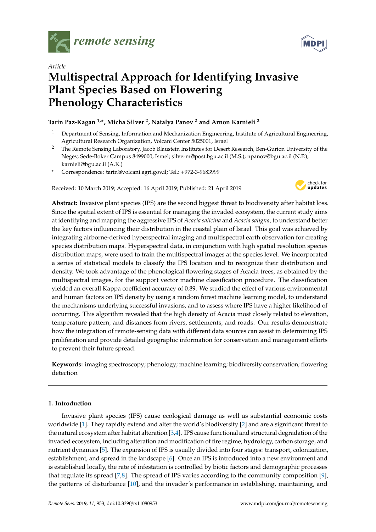



## *Article* **Multispectral Approach for Identifying Invasive Plant Species Based on Flowering Phenology Characteristics**

## **Tarin Paz-Kagan 1,\*, Micha Silver <sup>2</sup> , Natalya Panov <sup>2</sup> and Arnon Karnieli <sup>2</sup>**

- <sup>1</sup> Department of Sensing, Information and Mechanization Engineering, Institute of Agricultural Engineering, Agricultural Research Organization, Volcani Center 5025001, Israel
- <sup>2</sup> The Remote Sensing Laboratory, Jacob Blaustein Institutes for Desert Research, Ben-Gurion University of the Negev, Sede-Boker Campus 8499000, Israel; silverm@post.bgu.ac.il (M.S.); npanov@bgu.ac.il (N.P.); karnieli@bgu.ac.il (A.K.)
- **\*** Correspondence: tarin@volcani.agri.gov.il; Tel.: +972-3-9683999

Received: 10 March 2019; Accepted: 16 April 2019; Published: 21 April 2019



**Abstract:** Invasive plant species (IPS) are the second biggest threat to biodiversity after habitat loss. Since the spatial extent of IPS is essential for managing the invaded ecosystem, the current study aims at identifying and mapping the aggressive IPS of *Acacia salicina* and *Acacia saligna*, to understand better the key factors influencing their distribution in the coastal plain of Israel. This goal was achieved by integrating airborne-derived hyperspectral imaging and multispectral earth observation for creating species distribution maps. Hyperspectral data, in conjunction with high spatial resolution species distribution maps, were used to train the multispectral images at the species level. We incorporated a series of statistical models to classify the IPS location and to recognize their distribution and density. We took advantage of the phenological flowering stages of Acacia trees, as obtained by the multispectral images, for the support vector machine classification procedure. The classification yielded an overall Kappa coefficient accuracy of 0.89. We studied the effect of various environmental and human factors on IPS density by using a random forest machine learning model, to understand the mechanisms underlying successful invasions, and to assess where IPS have a higher likelihood of occurring. This algorithm revealed that the high density of Acacia most closely related to elevation, temperature pattern, and distances from rivers, settlements, and roads. Our results demonstrate how the integration of remote-sensing data with different data sources can assist in determining IPS proliferation and provide detailed geographic information for conservation and management efforts to prevent their future spread.

**Keywords:** imaging spectroscopy; phenology; machine learning; biodiversity conservation; flowering detection

### **1. Introduction**

Invasive plant species (IPS) cause ecological damage as well as substantial economic costs worldwide [\[1\]](#page-15-0). They rapidly extend and alter the world's biodiversity [\[2\]](#page-15-1) and are a significant threat to the natural ecosystem after habitat alteration [\[3](#page-15-2)[,4\]](#page-15-3). IPS cause functional and structural degradation of the invaded ecosystem, including alteration and modification of fire regime, hydrology, carbon storage, and nutrient dynamics [\[5\]](#page-15-4). The expansion of IPS is usually divided into four stages: transport, colonization, establishment, and spread in the landscape [\[6\]](#page-15-5). Once an IPS is introduced into a new environment and is established locally, the rate of infestation is controlled by biotic factors and demographic processes that regulate its spread [\[7](#page-15-6)[,8\]](#page-15-7). The spread of IPS varies according to the community composition [\[9\]](#page-15-8), the patterns of disturbance [\[10\]](#page-15-9), and the invader's performance in establishing, maintaining, and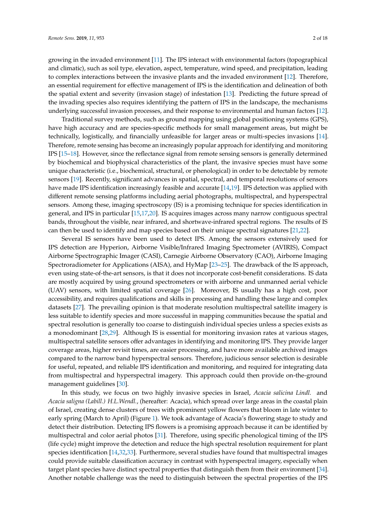growing in the invaded environment [\[11\]](#page-15-10). The IPS interact with environmental factors (topographical and climatic), such as soil type, elevation, aspect, temperature, wind speed, and precipitation, leading to complex interactions between the invasive plants and the invaded environment [\[12\]](#page-15-11). Therefore, an essential requirement for effective management of IPS is the identification and delineation of both the spatial extent and severity (invasion stage) of infestation [\[13\]](#page-15-12). Predicting the future spread of the invading species also requires identifying the pattern of IPS in the landscape, the mechanisms underlying successful invasion processes, and their response to environmental and human factors [\[12\]](#page-15-11).

Traditional survey methods, such as ground mapping using global positioning systems (GPS), have high accuracy and are species-specific methods for small management areas, but might be technically, logistically, and financially unfeasible for larger areas or multi-species invasions [\[14\]](#page-15-13). Therefore, remote sensing has become an increasingly popular approach for identifying and monitoring IPS [\[15](#page-15-14)[–18\]](#page-15-15). However, since the reflectance signal from remote sensing sensors is generally determined by biochemical and biophysical characteristics of the plant, the invasive species must have some unique characteristic (i.e., biochemical, structural, or phenological) in order to be detectable by remote sensors [\[19\]](#page-15-16). Recently, significant advances in spatial, spectral, and temporal resolutions of sensors have made IPS identification increasingly feasible and accurate [\[14](#page-15-13)[,19\]](#page-15-16). IPS detection was applied with different remote sensing platforms including aerial photographs, multispectral, and hyperspectral sensors. Among these, imaging spectroscopy (IS) is a promising technique for species identification in general, and IPS in particular [\[15,](#page-15-14)[17](#page-15-17)[,20\]](#page-15-18). IS acquires images across many narrow contiguous spectral bands, throughout the visible, near infrared, and shortwave-infrared spectral regions. The results of IS can then be used to identify and map species based on their unique spectral signatures [\[21](#page-15-19)[,22\]](#page-15-20).

Several IS sensors have been used to detect IPS. Among the sensors extensively used for IPS detection are Hyperion, Airborne Visible/Infrared Imaging Spectrometer (AVIRIS), Compact Airborne Spectrographic Imager (CASI), Carnegie Airborne Observatory (CAO), Airborne Imaging Spectroradiometer for Applications (AISA), and HyMap [\[23–](#page-15-21)[25\]](#page-15-22). The drawback of the IS approach, even using state-of-the-art sensors, is that it does not incorporate cost-benefit considerations. IS data are mostly acquired by using ground spectrometers or with airborne and unmanned aerial vehicle (UAV) sensors, with limited spatial coverage [\[26\]](#page-16-0). Moreover, IS usually has a high cost, poor accessibility, and requires qualifications and skills in processing and handling these large and complex datasets [\[27\]](#page-16-1). The prevailing opinion is that moderate resolution multispectral satellite imagery is less suitable to identify species and more successful in mapping communities because the spatial and spectral resolution is generally too coarse to distinguish individual species unless a species exists as a monodominant [\[28,](#page-16-2)[29\]](#page-16-3). Although IS is essential for monitoring invasion rates at various stages, multispectral satellite sensors offer advantages in identifying and monitoring IPS. They provide larger coverage areas, higher revisit times, are easier processing, and have more available archived images compared to the narrow band hyperspectral sensors. Therefore, judicious sensor selection is desirable for useful, repeated, and reliable IPS identification and monitoring, and required for integrating data from multispectral and hyperspectral imagery. This approach could then provide on-the-ground management guidelines [\[30\]](#page-16-4).

In this study, we focus on two highly invasive species in Israel, *Acacia salicina Lindl.* and *Acacia saligna (Labill.) H.L.Wendl.*, (hereafter: Acacia), which spread over large areas in the coastal plain of Israel, creating dense clusters of trees with prominent yellow flowers that bloom in late winter to early spring (March to April) (Figure [1\)](#page-2-0). We took advantage of Acacia's flowering stage to study and detect their distribution. Detecting IPS flowers is a promising approach because it can be identified by multispectral and color aerial photos [\[31\]](#page-16-5). Therefore, using specific phenological timing of the IPS (life cycle) might improve the detection and reduce the high spectral resolution requirement for plant species identification [\[14](#page-15-13)[,32](#page-16-6)[,33\]](#page-16-7). Furthermore, several studies have found that multispectral images could provide suitable classification accuracy in contrast with hyperspectral imagery, especially when target plant species have distinct spectral properties that distinguish them from their environment [\[34\]](#page-16-8). Another notable challenge was the need to distinguish between the spectral properties of the IPS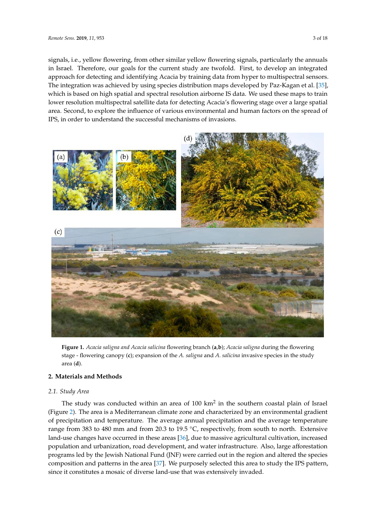signals, i.e., yellow flowering, from other similar yellow flowering signals, particularly the annuals in Israel. Therefore, our goals for the current study are twofold. First, to develop an integrated approach for detecting and identifying Acacia by training data from hyper to multispectral sensors. The integration was achieved by using species distribution maps developed by Paz-Kagan et al. [\[35\]](#page-16-9), multism integration was achieved by using species distribution inteps developed by Tall raight et al. [bo].<br>Which is based on high spatial and spectral resolution airborne IS data. We used these maps to train lower resolution multispectral satellite data for detecting Acacia's flowering stage over a large spatial area. Second, to explore the influence of various environmental and human factors on the spread of IPS, in order to understand the successful mechanisms of invasions.  $\frac{1}{25}$ , which is based on high spatial and spectral resolution airborne is easily to detail. We also inapplied the

<span id="page-2-0"></span>

Figure 1. Acacia saligna and Acacia salicina flowering branch (a,b); Acacia saligna during the flowering stage - flowering canopy (c); expansion of the A. saligna and A. salicina invasive species in the study area (**d**). area (**d**).

### **2. Materials and Methods 2. Materials and Methods**

### *2.1. Study Area 2.1. Study Area*

The study was conducted within an area of 100 km<sup>2</sup> in the southern coastal plain of Israel (Figure 2). Th[e a](#page-3-0)rea is a Mediterranean climate zone and characterized by an environmental gradient of precipitation and temperature. The average annual precipitation and the average temperature range from 383 to 480 mm and from 20.3 to 19.5 °C, respectively, from south to north. Extensive land-use changes have occurred in these areas [\[36\]](#page-16-10), due to massive agricultural cultivation, increased population and urbanization, road development, and water infrastructure. Also, large afforestation population and urbanization, road development, and water infrastructure. Also, large afforestation programs led by the Jewish National Fund (JNF) were carried out in the region and altered the species programs led by the Jewish National Fund (JNF) were carried out in the region and altered the species composition and patterns in the area [37]. We purposely selected this area to study the IPS pattern, composition and patterns in the area [\[37\]](#page-16-11). We purposely selected this area to study the IPS pattern, since it constitutes a mosaic of diverse land-use that was extensively invaded*.* since it constitutes a mosaic of diverse land-use that was extensively invaded.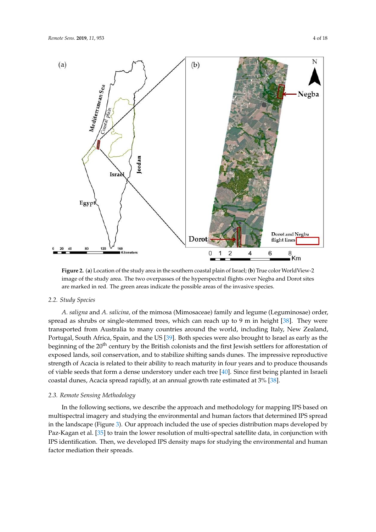<span id="page-3-0"></span>

image of the study area. The two overpasses of the hyperspectral flights over Negba and Dorot sites are marked in red. The green areas indicate the possible areas of the invasive species. **Figure 2.** (**a**) Location of the study area in the southern coastal plain of Israel; (**b**) True color WorldView-2

## and Dorot sites are marked in red. The green areas indicate the possible areas of the invasive species. *2.2. Study Species*

*2.2. Study Species A. saligna* and *A. salicina,* of the mimosa (Mimosaceae) family and legume (Leguminosae) order, applead as sindes of single stemmed areas, when can reach up to *f* in in height [50]. They were transported from Australia to many countries around the world, including Italy, New Zealand, strate-sported from Australia to many contributions around the world, including hary, ivew Lea Portugal, South Africa, Spain, and the US [\[39\]](#page-16-13). Both species were also brought to Israel as early as the beginning of the 20<sup>th</sup> century by the British colonists and the first Jewish settlers for afforestation of exposed lands, soil conservation, and to stabilize shifting sands dunes. The impressive reproductive strength of Acacia is related to their ability to reach maturity in four years and to produce thousands of viable seeds that form a dense understory under each tree [\[40\]](#page-16-14). Since first being planted in Israeli coastal dunes, Acacia spread rapidly, at an annual growth rate estimated at 3% [\[38\]](#page-16-12). spread as shrubs or single-stemmed trees, which can reach up to 9 m in height [\[38\]](#page-16-12). They were

## coastal dunes, Acacia spread rapidly, at an annual growth rate estimated at 3% [38]. *2.3. Remote Sensing Methodology*

In the following sections, we describe the approach and methodology for mapping IPS based on multispectral imagery and studying the environmental and human factors that determined IPS spread in the landscape (Figure [3\)](#page-4-0). Our approach included the use of species distribution maps developed by Paz-Kagan et al. [\[35\]](#page-16-9) to train the lower resolution of multi-spectral satellite data, in conjunction with IPS identification. Then, we developed IPS density maps for studying the environmental and human factor mediation their spreads.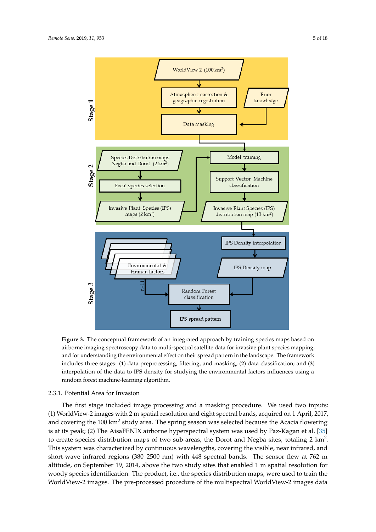<span id="page-4-0"></span>

**Figure. 3.** The conceptual framework of an integrated approach by training species maps based on **Figure 3.** The conceptual framework of an integrated approach by training species maps based on airborne imaging spectroscopy data to multi-spectral satellite data for invasive plant species airborne imaging spectroscopy data to multi-spectral satellite data for invasive plant species mapping, and for understanding the environmental effect on their spread pattern in the landscape. The framework<br>in the landscape. The framework The fact state stages: (**1**) data preprocessing, filtering, and masking; (**2**) data elassification, and (**b**) interpolation of the data to IPS density for studying the environmental factors influences using a interpolation random forest machine-learning algorithm. includes three stages: (**1**) data preprocessing, filtering, and masking; (**2**) data classification; and (**3**)

#### 2.3.1. Potential Area for Invasion

2.3.1. Potential Area for Invasion (1) WorldView-2 images with 2 m spatial resolution and eight spectral bands, acquired on 1 April, 2017, and covering the 100 km<sup>2</sup> study area. The spring season was selected because the Acacia flowering is at its peak; (2) The AisaFENIX airborne hyperspectral system was used by Paz-Kagan et al. [\[35\]](#page-16-9) to create species distribution maps of two sub-areas, the Dorot and Negba sites, totaling 2 km<sup>2</sup>. This system was characterized by continuous wavelengths, covering the visible, near infrared, and short-wave infrared regions (380–2500 nm) with 448 spectral bands. The sensor flew at 762 m altitude, on September 19, 2014, above the two study sites that enabled 1 m spatial resolution for woody species identification. The product, i.e., the species distribution maps, were used to train the WorldView-2 images. The pre-processed procedure of the multispectral WorldView-2 images data The first stage included image processing and a masking procedure. We used two inputs: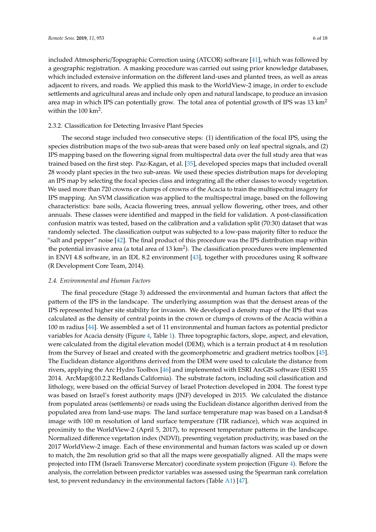included Atmospheric/Topographic Correction using (ATCOR) software [\[41\]](#page-16-15), which was followed by a geographic registration. A masking procedure was carried out using prior knowledge databases, which included extensive information on the different land-uses and planted trees, as well as areas adjacent to rivers, and roads. We applied this mask to the WorldView-2 image, in order to exclude settlements and agricultural areas and include only open and natural landscape, to produce an invasion area map in which IPS can potentially grow. The total area of potential growth of IPS was 13 km<sup>2</sup> within the 100 km<sup>2</sup>.

#### 2.3.2. Classification for Detecting Invasive Plant Species

The second stage included two consecutive steps: (1) identification of the focal IPS, using the species distribution maps of the two sub-areas that were based only on leaf spectral signals, and (2) IPS mapping based on the flowering signal from multispectral data over the full study area that was trained based on the first step. Paz-Kagan, et al. [\[35\]](#page-16-9), developed species maps that included overall 28 woody plant species in the two sub-areas. We used these species distribution maps for developing an IPS map by selecting the focal species class and integrating all the other classes to woody vegetation. We used more than 720 crowns or clumps of crowns of the Acacia to train the multispectral imagery for IPS mapping. An SVM classification was applied to the multispectral image, based on the following characteristics: bare soils, Acacia flowering trees, annual yellow flowering, other trees, and other annuals. These classes were identified and mapped in the field for validation. A post-classification confusion matrix was tested, based on the calibration and a validation split (70:30) dataset that was randomly selected. The classification output was subjected to a low-pass majority filter to reduce the "salt and pepper" noise [\[42\]](#page-16-16). The final product of this procedure was the IPS distribution map within the potential invasive area (a total area of 13  $km^2$ ). The classification procedures were implemented in ENVI 4.8 software, in an IDL 8.2 environment [\[43\]](#page-16-17), together with procedures using R software (R Development Core Team, 2014).

#### *2.4. Environmental and Human Factors*

The final procedure (Stage 3) addressed the environmental and human factors that affect the pattern of the IPS in the landscape. The underlying assumption was that the densest areas of the IPS represented higher site stability for invasion. We developed a density map of the IPS that was calculated as the density of central points in the crown or clumps of crowns of the Acacia within a 100 m radius [\[44\]](#page-16-18). We assembled a set of 11 environmental and human factors as potential predictor variables for Acacia density (Figure [4,](#page-6-0) Table [1\)](#page-7-0). Three topographic factors, slope, aspect, and elevation, were calculated from the digital elevation model (DEM), which is a terrain product at 4 m resolution from the Survey of Israel and created with the geomorphometric and gradient metrics toolbox [\[45\]](#page-16-19). The Euclidean distance algorithms derived from the DEM were used to calculate the distance from rivers, applying the Arc Hydro Toolbox [\[46\]](#page-16-20) and implemented with ESRI ArcGIS software (ESRI 155 2014. ArcMap®10.2.2 Redlands California). The substrate factors, including soil classification and lithology, were based on the official Survey of Israel Protection developed in 2004. The forest type was based on Israel's forest authority maps (JNF) developed in 2015. We calculated the distance from populated areas (settlements) or roads using the Euclidean distance algorithm derived from the populated area from land-use maps. The land surface temperature map was based on a Landsat-8 image with 100 m resolution of land surface temperature (TIR radiance), which was acquired in proximity to the WorldView-2 (April 5, 2017), to represent temperature patterns in the landscape. Normalized difference vegetation index (NDVI), presenting vegetation productivity, was based on the 2017 WorldView-2 image. Each of these environmental and human factors was scaled up or down to match, the 2m resolution grid so that all the maps were geospatially aligned. All the maps were projected into ITM (Israeli Transverse Mercator) coordinate system projection (Figure [4\)](#page-6-0). Before the analysis, the correlation between predictor variables was assessed using the Spearman rank correlation test, to prevent redundancy in the environmental factors (Table [A1\)](#page-14-0) [\[47\]](#page-16-21).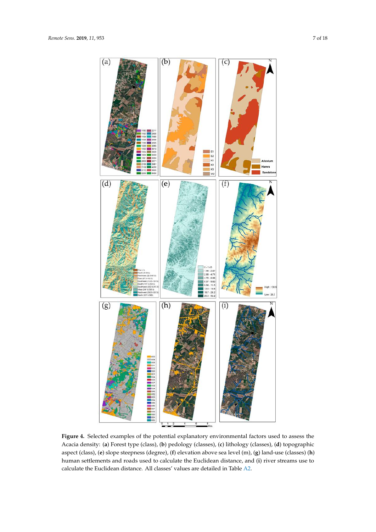<span id="page-6-0"></span>

**Figure 1. A settlements and roads used to calculate the Euclidean distance, and (<b>i**) river streams use to the Euclidean distance, and (**i**) river streams use to Academic density and forest type (classes), (**b**) pediate (classes), (**c**) in the distribution of the distribution of  $\mathbf{r}_1$ ,  $\mathbf{r}_2$ ,  $\mathbf{r}_3$ ,  $\mathbf{r}_4$ ,  $\mathbf{r}_5$ ,  $\mathbf{r}_6$ ,  $\mathbf{r}_7$ ,  $\mathbf{r}_8$ ,  $\mathbf{r}_9$ ,  $\mathbf{$ calculate the Euclidean distance. All classes' values are detailed in Table [A2.](#page-14-1) **Figure 4.** Selected examples of the potential explanatory environmental factors used to assess the Acacia density: (**a**) Forest type (class), (**b**) pedology (classes), (**c**) lithology (classes), (**d**) topographic aspect (class), (**e**) slope steepness (degree), (**f**) elevation above sea level (m), (**g**) land-use (classes) (**h**)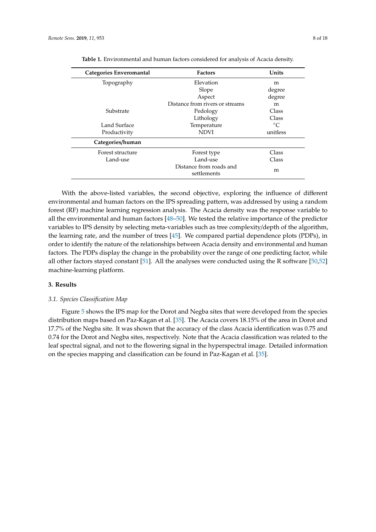<span id="page-7-0"></span>

| Categories Enveromantal | <b>Factors</b>                         | Units       |
|-------------------------|----------------------------------------|-------------|
| Topography              | Elevation                              | m           |
|                         | Slope                                  | degree      |
|                         | Aspect                                 | degree      |
|                         | Distance from rivers or streams        | m           |
| Substrate               | Pedology                               | Class       |
|                         | Lithology                              | Class       |
| Land Surface            | Temperature                            | $^{\circ}C$ |
| Productivity            | <b>NDVI</b>                            | unitless    |
| Categories/human        |                                        |             |
| Forest structure        | Forest type                            | Class       |
| Land-use                | Land-use                               | Class       |
|                         | Distance from roads and<br>settlements | m           |

**Table 1.** Environmental and human factors considered for analysis of Acacia density.

With the above-listed variables, the second objective, exploring the influence of different environmental and human factors on the IPS spreading pattern, was addressed by using a random forest (RF) machine learning regression analysis. The Acacia density was the response variable to all the environmental and human factors [\[48](#page-16-22)[–50\]](#page-17-0). We tested the relative importance of the predictor variables to IPS density by selecting meta-variables such as tree complexity/depth of the algorithm, the learning rate, and the number of trees [\[45\]](#page-16-19). We compared partial dependence plots (PDPs), in order to identify the nature of the relationships between Acacia density and environmental and human factors. The PDPs display the change in the probability over the range of one predicting factor, while all other factors stayed constant [\[51\]](#page-17-1). All the analyses were conducted using the R software [\[50](#page-17-0)[,52\]](#page-17-2) machine-learning platform.

#### **3. Results**

#### *3.1. Species Classification Map*

Figure [5](#page-8-0) shows the IPS map for the Dorot and Negba sites that were developed from the species distribution maps based on Paz-Kagan et al. [\[35\]](#page-16-9). The Acacia covers 18.15% of the area in Dorot and 17.7% of the Negba site. It was shown that the accuracy of the class Acacia identification was 0.75 and 0.74 for the Dorot and Negba sites, respectively. Note that the Acacia classification was related to the leaf spectral signal, and not to the flowering signal in the hyperspectral image. Detailed information on the species mapping and classification can be found in Paz-Kagan et al. [\[35\]](#page-16-9).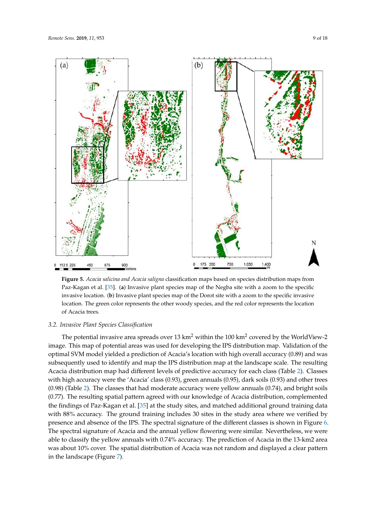$(a)$ 

112.5 225

450

675

900<br>Meters

<span id="page-8-0"></span>

Figure 5. *Acacia salicina and Acacia saligna* classification maps based on species distribution maps from from Paz-Kagan et al. [35]. (**a**) Invasive plant species map of the Negba site with a zoom to the Paz-Kagan et al. [\[35\]](#page-16-9). (**a**) Invasive plant species map of the Negba site with a zoom to the specific specific invasive location. (**b**) Invasive plant species map of the Dorot site with a zoom to the invasive location. (**b**) Invasive plant species map of the Dorot site with a zoom to the specific invasive location. The green color represents the other woody species, and the red color represents the location of Acacia trees.

0 175 350

700

1,050

1,400

# *3.2. Invasive Plant Species Classification 3.2. Invasive Plant Species Classification*

image. This map of potential areas was used for developing the IPS distribution map. Validation of the optimal SVM model yielded a prediction of Acacia's location with high overall accuracy (0.89) and was subsequently used to identify and map the IPS distribution map at the landscape scale. The resulting Acacia distribution map had different levels of predictive accuracy for each class (Table [2\)](#page-10-0). Classes with high accuracy were the 'Acacia' class  $(0.93)$ , green annuals  $(0.95)$ , dark soils  $(0.93)$  and other trees  $(0.98)$  (Table [2\)](#page-10-0). The classes that had moderate accuracy were yellow annuals (0.74), and bright soils The potential invasive area spreads over 13 km $^2$  within the 100 km $^2$  covered by the WorldView-2 (0.77). The resulting spatial pattern agreed with our knowledge of Acacia distribution, complemented the findings of Paz-Kagan et al. [\[35\]](#page-16-9) at the study sites, and matched additional ground training data with 88% accuracy. The ground training includes 30 sites in the study area where we verified by presence and absence of the IPS. The spectral signature of the different classes is shown in Figure [6.](#page-9-0) The spectral signature of Acacia and the annual yellow flowering were similar. Nevertheless, we were able to classify the yellow annuals with 0.74% accuracy. The prediction of Acacia in the 13-km2 area was about 10% cover. The spatial distribution of Acacia was not random and displayed a clear pattern in the landscape (Figure [7\)](#page-9-1).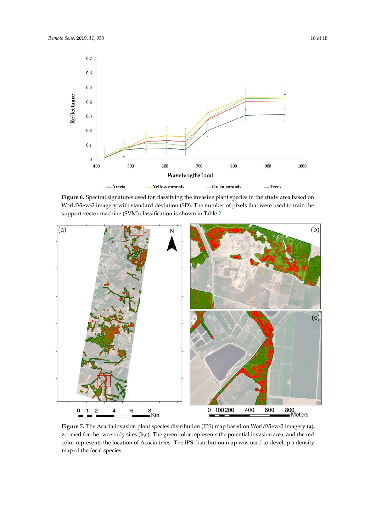<span id="page-9-0"></span>

WorldView-2 imagery with standard deviation (SD). The number of pixels that were used to train the support vector machine (SVM) classification is shown in Table 2. Figure 6. Spectral signatures used for classifying the invasive plant species in the study area based on

<span id="page-9-1"></span>

zoomed for the two study sites (**b**,**c**). The green color represents the potential invasion area, and the red color represents the location of Acacia trees. The IPS distribution map was used to develop a density map of the focal species. The IPS distribution of Acacia trees and the IPS distribution map of the focal species. **Figure 7.** The Acacia invasion plant species distribution (IPS) map based on WorldView-2 imagery (**a**),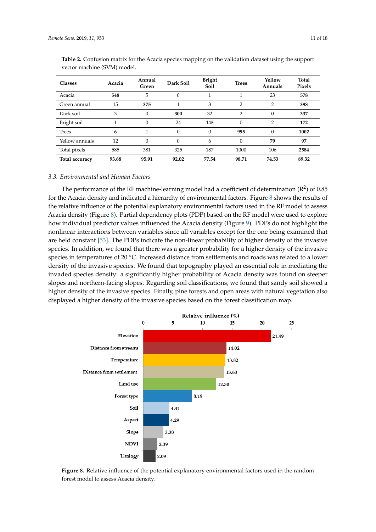| <b>Classes</b> | Acacia | Annual<br>Green | Dark Soil    | <b>Bright</b><br><b>Trees</b><br>Soil |                | Yellow<br>Annuals | Total<br>Pixels |
|----------------|--------|-----------------|--------------|---------------------------------------|----------------|-------------------|-----------------|
| Acacia         | 548    | 5               | $\theta$     |                                       |                | 23                | 578             |
| Green annual   | 15     | 375             | 1            | 3                                     | $\overline{2}$ | $\overline{2}$    | 398             |
| Dark soil      | 3      | $\Omega$        | 300          | 32                                    | $\overline{2}$ | $\Omega$          | 337             |
| Bright soil    |        | $\Omega$        | 24           | 145                                   | $\theta$       | $\overline{2}$    | 172             |
| <b>Trees</b>   | 6      |                 | $\theta$     | $\Omega$                              | 995            | $\Omega$          | 1002            |
| Yellow annuals | 12     | $\Omega$        | $\mathbf{0}$ | 6                                     | $\theta$       | 79                | 97              |
| Total pixels   | 585    | 381             | 325          | 187                                   | 1000           | 106               | 2584            |
| Total accuracy | 93.68  | 95.91           | 92.02        | 77.54                                 | 98.71          | 74.53             | 89.32           |

<span id="page-10-0"></span>**Table 2.** Confusion matrix for the Acacia species mapping on the validation dataset using the support vector machine (SVM) model.

#### *3.3. Environmental and Human Factors*

The performance of the RF machine-learning model had a coefficient of determination ( $R^2$ ) of 0.85 for the Acacia density and indicated a hierarchy of environmental factors. Figure [8](#page-10-1) shows the results of the relative influence of the potential explanatory environmental factors used in the RF model to assess Acacia density (Figure [8\)](#page-10-1). Partial dependency plots (PDP) based on the RF model were used to explore how individual predictor values influenced the Acacia density (Figure [9\)](#page-11-0). PDPs do not highlight the nonlinear interactions between variables since all variables except for the one being examined that are held constant [\[53\]](#page-17-3). The PDPs indicate the non-linear probability of higher density of the invasive species. In addition, we found that there was a greater probability for a higher density of the invasive species in temperatures of 20 °C. Increased distance from settlements and roads was related to a lower density of the invasive species. We found that topography played an essential role in mediating the density of the invasive species. We found that topography played an essential role in mediating the invaded species density: a significantly higher probability of Acacia density was found on steeper slopes and northern-facing slopes. Regarding soil classifications, we found that sandy soil showed a higher density of the invasive species. Finally, pine forests and open areas with natural vegetation also displayed a higher density of the invasive species based on the forest classification map. for the invasive species. For found that topography piayed an essential fore in including

<span id="page-10-1"></span>

**Figure 8.** Relative influence of the potential explanatory environmental factors used in the random **Figure 8.** Relative influence of the potential explanatory environmental factors used in the random forest model to assess Acacia density.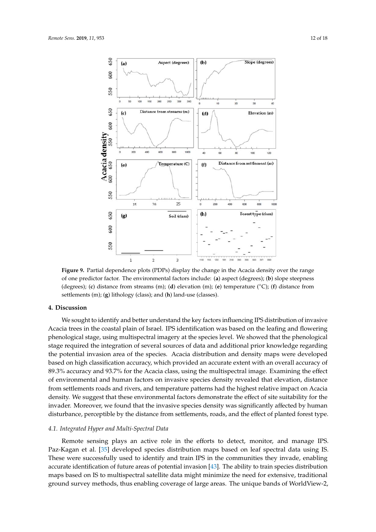<span id="page-11-0"></span>650

500

 $(a)$ 





 $(b)$ 

Aspect (degrees)

 (degrees); (**c**) distance from streams (m); (**d**) elevation (m); (**e**) temperature (◦C); (**f**) distance from **Figure 9.** Partial dependence plots (PDPs) display the change in the Acacia density over the range of settlements (m); (**g**) lithology (class); and (**h**) land-use (classes). **Figure 9.** Partial dependence plots (PDPs) display the change in the Acacia density over the range of one predictor factor. The environmental factors include: (**a**) aspect (degrees); (**b**) slope steepness

#### one predictor factor. The environmental factors include: (**a**) aspect (degrees); (**b**) slope steepness (degrees); (**c**) distance from streams (m); (**d**) elevation (m); (**e**) temperature (Co); (**f**) distance from **4. Discussion**

We sought to identify and better understand the key factors influencing IPS distribution of invasive phenological stage, using multispectral imagery at the species level. We showed that the phenological stage required the integration of several sources of data and additional prior knowledge regarding the potential invasion area of the species. Acacia distribution and density maps were developed based on high classification accuracy, which provided an accurate extent with an overall accuracy of 89.3% accuracy and 93.7% for the Acacia class, using the multispectral image. Examining the effect of environmental and human factors on invasive species density revealed that elevation, distance from settlements roads and rivers, and temperature patterns had the highest relative impact on Acacia density. We suggest that these environmental factors demonstrate the effect of site suitability for the invader. Moreover, we found that the invasive species density was significantly affected by human distance from settlements roads and rivers, and temperature patterns had the highest relative impact disturbance, perceptible by the distance from settlements, roads, and the effect of planted forest type.<br>. Acacia trees in the coastal plain of Israel. IPS identification was based on the leafing and flowering

## suitability for the invader. Moreover, we found that the invasive species density was significantly *4.1. Integrated Hyper and Multi-Spectral Data*

Remote sensing plays an active role in the efforts to detect, monitor, and manage IPS. *4.1. Integrated Hyper and Multi-Spectral Data*  These were successfully used to identify and train IPS in the communities they invade, enabling Paz-Kagan et al. [\[35\]](#page-16-9) developed species distribution maps based on leaf spectral data using IS. accurate identification of future areas of potential invasion [\[43\]](#page-16-17). The ability to train species distribution maps based on IS to multispectral satellite data might minimize the need for extensive, traditional ground survey methods, thus enabling coverage of large areas. The unique bands of WorldView-2,

 $\mathcal{L}$  affected by the distrustion distance from settlements, roads, and the effect of effect of effect of effect of effect of effect of effect of effect of effect of effect of effect of effect of effect of effect of ef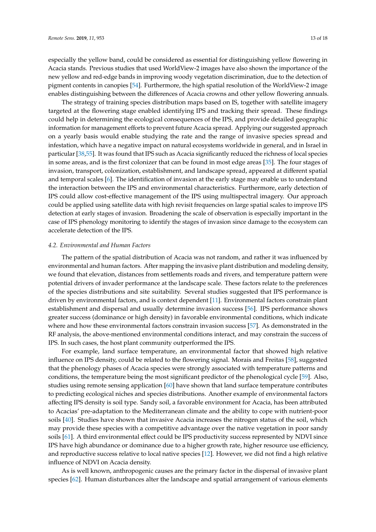especially the yellow band, could be considered as essential for distinguishing yellow flowering in Acacia stands. Previous studies that used WorldView-2 images have also shown the importance of the new yellow and red-edge bands in improving woody vegetation discrimination, due to the detection of pigment contents in canopies [\[54\]](#page-17-4). Furthermore, the high spatial resolution of the WorldView-2 image enables distinguishing between the differences of Acacia crowns and other yellow flowering annuals.

The strategy of training species distribution maps based on IS, together with satellite imagery targeted at the flowering stage enabled identifying IPS and tracking their spread. These findings could help in determining the ecological consequences of the IPS, and provide detailed geographic information for management efforts to prevent future Acacia spread. Applying our suggested approach on a yearly basis would enable studying the rate and the range of invasive species spread and infestation, which have a negative impact on natural ecosystems worldwide in general, and in Israel in particular [\[38](#page-16-12)[,55\]](#page-17-5). It was found that IPS such as Acacia significantly reduced the richness of local species in some areas, and is the first colonizer that can be found in most edge areas [\[35\]](#page-16-9). The four stages of invasion, transport, colonization, establishment, and landscape spread, appeared at different spatial and temporal scales [\[6\]](#page-15-5). The identification of invasion at the early stage may enable us to understand the interaction between the IPS and environmental characteristics. Furthermore, early detection of IPS could allow cost-effective management of the IPS using multispectral imagery. Our approach could be applied using satellite data with high revisit frequencies on large spatial scales to improve IPS detection at early stages of invasion. Broadening the scale of observation is especially important in the case of IPS phenology monitoring to identify the stages of invasion since damage to the ecosystem can accelerate detection of the IPS.

#### *4.2. Environmental and Human Factors*

The pattern of the spatial distribution of Acacia was not random, and rather it was influenced by environmental and human factors. After mapping the invasive plant distribution and modeling density, we found that elevation, distances from settlements roads and rivers, and temperature pattern were potential drivers of invader performance at the landscape scale. These factors relate to the preferences of the species distributions and site suitability. Several studies suggested that IPS performance is driven by environmental factors, and is context dependent [\[11\]](#page-15-10). Environmental factors constrain plant establishment and dispersal and usually determine invasion success [\[56\]](#page-17-6). IPS performance shows greater success (dominance or high density) in favorable environmental conditions, which indicate where and how these environmental factors constrain invasion success [\[57\]](#page-17-7). As demonstrated in the RF analysis, the above-mentioned environmental conditions interact, and may constrain the success of IPS. In such cases, the host plant community outperformed the IPS.

For example, land surface temperature, an environmental factor that showed high relative influence on IPS density, could be related to the flowering signal. Morais and Freitas [\[58\]](#page-17-8), suggested that the phenology phases of Acacia species were strongly associated with temperature patterns and conditions, the temperature being the most significant predictor of the phenological cycle [\[59\]](#page-17-9). Also, studies using remote sensing application [\[60\]](#page-17-10) have shown that land surface temperature contributes to predicting ecological niches and species distributions. Another example of environmental factors affecting IPS density is soil type. Sandy soil, a favorable environment for Acacia, has been attributed to Acacias' pre-adaptation to the Mediterranean climate and the ability to cope with nutrient-poor soils [\[40\]](#page-16-14). Studies have shown that invasive Acacia increases the nitrogen status of the soil, which may provide these species with a competitive advantage over the native vegetation in poor sandy soils [\[61\]](#page-17-11). A third environmental effect could be IPS productivity success represented by NDVI since IPS have high abundance or dominance due to a higher growth rate, higher resource use efficiency, and reproductive success relative to local native species [\[12\]](#page-15-11). However, we did not find a high relative influence of NDVI on Acacia density.

As is well known, anthropogenic causes are the primary factor in the dispersal of invasive plant species [\[62\]](#page-17-12). Human disturbances alter the landscape and spatial arrangement of various elements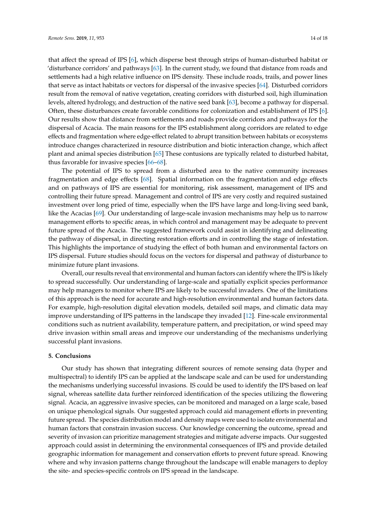that affect the spread of IPS [\[6\]](#page-15-5), which disperse best through strips of human-disturbed habitat or 'disturbance corridors' and pathways [\[63\]](#page-17-13). In the current study, we found that distance from roads and settlements had a high relative influence on IPS density. These include roads, trails, and power lines that serve as intact habitats or vectors for dispersal of the invasive species [\[64\]](#page-17-14). Disturbed corridors result from the removal of native vegetation, creating corridors with disturbed soil, high illumination levels, altered hydrology, and destruction of the native seed bank [\[63\]](#page-17-13), become a pathway for dispersal. Often, these disturbances create favorable conditions for colonization and establishment of IPS [\[6\]](#page-15-5). Our results show that distance from settlements and roads provide corridors and pathways for the dispersal of Acacia. The main reasons for the IPS establishment along corridors are related to edge effects and fragmentation where edge-effect related to abrupt transition between habitats or ecosystems introduce changes characterized in resource distribution and biotic interaction change, which affect plant and animal species distribution [\[65\]](#page-17-15) These contusions are typically related to disturbed habitat, thus favorable for invasive species [\[66–](#page-17-16)[68\]](#page-17-17).

The potential of IPS to spread from a disturbed area to the native community increases fragmentation and edge effects [\[68\]](#page-17-17). Spatial information on the fragmentation and edge effects and on pathways of IPS are essential for monitoring, risk assessment, management of IPS and controlling their future spread. Management and control of IPS are very costly and required sustained investment over long pried of time, especially when the IPS have large and long-living seed bank, like the Acacias [\[69\]](#page-17-18). Our understanding of large-scale invasion mechanisms may help us to narrow management efforts to specific areas, in which control and management may be adequate to prevent future spread of the Acacia. The suggested framework could assist in identifying and delineating the pathway of dispersal, in directing restoration efforts and in controlling the stage of infestation. This highlights the importance of studying the effect of both human and environmental factors on IPS dispersal. Future studies should focus on the vectors for dispersal and pathway of disturbance to minimize future plant invasions.

Overall, our results reveal that environmental and human factors can identify where the IPS is likely to spread successfully. Our understanding of large-scale and spatially explicit species performance may help managers to monitor where IPS are likely to be successful invaders. One of the limitations of this approach is the need for accurate and high-resolution environmental and human factors data. For example, high-resolution digital elevation models, detailed soil maps, and climatic data may improve understanding of IPS patterns in the landscape they invaded [\[12\]](#page-15-11). Fine-scale environmental conditions such as nutrient availability, temperature pattern, and precipitation, or wind speed may drive invasion within small areas and improve our understanding of the mechanisms underlying successful plant invasions.

#### **5. Conclusions**

Our study has shown that integrating different sources of remote sensing data (hyper and multispectral) to identify IPS can be applied at the landscape scale and can be used for understanding the mechanisms underlying successful invasions. IS could be used to identify the IPS based on leaf signal, whereas satellite data further reinforced identification of the species utilizing the flowering signal. Acacia, an aggressive invasive species, can be monitored and managed on a large scale, based on unique phenological signals. Our suggested approach could aid management efforts in preventing future spread. The species distribution model and density maps were used to isolate environmental and human factors that constrain invasion success. Our knowledge concerning the outcome, spread and severity of invasion can prioritize management strategies and mitigate adverse impacts. Our suggested approach could assist in determining the environmental consequences of IPS and provide detailed geographic information for management and conservation efforts to prevent future spread. Knowing where and why invasion patterns change throughout the landscape will enable managers to deploy the site- and species-specific controls on IPS spread in the landscape.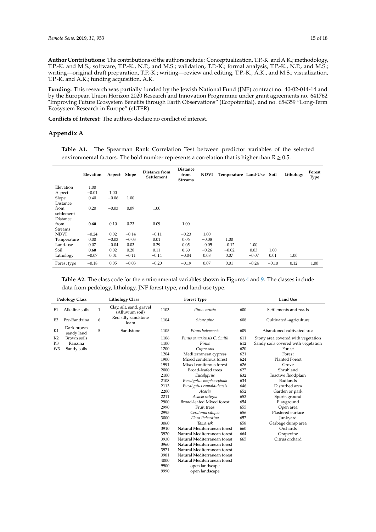**Author Contributions:** The contributions of the authors include: Conceptualization, T.P.-K. and A.K.; methodology, T.P.-K. and M.S.; software, T.P.-K., N.P., and M.S.; validation, T.P.-K.; formal analysis, T.P.-K., N.P., and M.S.; writing—original draft preparation, T.P.-K.; writing—review and editing, T.P.-K., A.K., and M.S.; visualization, T.P.-K. and A.K.; funding acquisition, A.K.

**Funding:** This research was partially funded by the Jewish National Fund (JNF) contract no. 40-02-044-14 and by the European Union Horizon 2020 Research and Innovation Programme under grant agreements no. 641762 "Improving Future Ecosystem Benefits through Earth Observations" (Ecopotential). and no. 654359 "Long-Term Ecosystem Research in Europe" (eLTER).

**Conflicts of Interest:** The authors declare no conflict of interest.

#### <span id="page-14-0"></span>**Appendix A**

**Table A1.** The Spearman Rank Correlation Test between predictor variables of the selected environmental factors. The bold number represents a correlation that is higher than  $R \ge 0.5$ .

|             | Elevation | Aspect Slope |         | Distance from<br>Settlement | <b>Distance</b><br>from<br><b>Streams</b> | <b>NDVI</b> | Temperature Land-Use Soil |         |         | Lithology | Forest<br><b>Type</b> |
|-------------|-----------|--------------|---------|-----------------------------|-------------------------------------------|-------------|---------------------------|---------|---------|-----------|-----------------------|
| Elevation   | 1.00      |              |         |                             |                                           |             |                           |         |         |           |                       |
| Aspect      | $-0.01$   | 1.00         |         |                             |                                           |             |                           |         |         |           |                       |
| Slope       | 0.40      | $-0.06$      | 1.00    |                             |                                           |             |                           |         |         |           |                       |
| Distance    |           |              |         |                             |                                           |             |                           |         |         |           |                       |
| from        | 0.20      | $-0.03$      | 0.09    | 1.00                        |                                           |             |                           |         |         |           |                       |
| settlement  |           |              |         |                             |                                           |             |                           |         |         |           |                       |
| Distance    |           |              |         |                             |                                           |             |                           |         |         |           |                       |
| from        | 0.60      | 0.10         | 0.23    | 0.09                        | 1.00                                      |             |                           |         |         |           |                       |
| Streams     |           |              |         |                             |                                           |             |                           |         |         |           |                       |
| <b>NDVI</b> | $-0.24$   | 0.02         | $-0.14$ | $-0.11$                     | $-0.23$                                   | 1.00        |                           |         |         |           |                       |
| Temperature | 0.00      | $-0.03$      | $-0.03$ | 0.01                        | 0.06                                      | $-0.08$     | 1.00                      |         |         |           |                       |
| Land-use    | 0.07      | $-0.04$      | 0.03    | 0.29                        | 0.05                                      | $-0.05$     | $-0.12$                   | 1.00    |         |           |                       |
| Soil        | 0.60      | 0.02         | 0.28    | 0.11                        | 0.50                                      | $-0.26$     | $-0.02$                   | 0.03    | 1.00    |           |                       |
| Lithology   | $-0.07$   | 0.01         | $-0.11$ | $-0.14$                     | $-0.04$                                   | 0.08        | 0.07                      | $-0.07$ | 0.01    | 1.00      |                       |
| Forest type | $-0.18$   | 0.05         | $-0.03$ | $-0.20$                     | $-0.19$                                   | 0.07        | 0.01                      | $-0.24$ | $-0.10$ | 0.12      | 1.00                  |

<span id="page-14-1"></span>**Table A2.** The class code for the environmental variables shown in Figures [4](#page-6-0) and [9.](#page-11-0) The classes include data from pedology, lithology, JNF forest type, and land-use type.

| <b>Pedology Class</b> |                          |              | <b>Lithology Class</b>                      |                                      | <b>Forest Type</b>           |     | <b>Land Use</b>                     |  |  |
|-----------------------|--------------------------|--------------|---------------------------------------------|--------------------------------------|------------------------------|-----|-------------------------------------|--|--|
| E1                    | Alkaline soils           | $\mathbf{1}$ | Clay, silt, sand, gravel<br>(Alluvium soil) | 1103                                 | Pinus brutia<br>600          |     | Settlements and roads               |  |  |
| E <sub>2</sub>        | Pre-Randzina             | 6            | Red silty sandstone<br>loam                 | 1104                                 | Stone pine                   | 608 | Cultivated -agriculture             |  |  |
| K1                    | Dark brown<br>sandy land | 5            | Sandstone                                   | 1105                                 | Pinus halepensis             | 609 | Abandoned cultivated area           |  |  |
| K <sub>2</sub>        | Brown soils              |              |                                             | 1106                                 | Pinus canariensis C. Smith   | 611 | Stony area covered with vegetation  |  |  |
| K <sub>3</sub>        | Ranzina                  |              |                                             | 1100                                 | Pinus                        | 612 | Sandy soils covered with vegetation |  |  |
| W <sub>3</sub>        | Sandy soils              |              |                                             | 1200                                 | Cupressus                    | 620 | Forest                              |  |  |
|                       |                          |              |                                             | 1204                                 | Mediterranean cypress        | 621 | Forest                              |  |  |
|                       |                          |              |                                             | 1900                                 | Mixed coniferous forest      | 624 | <b>Planted Forest</b>               |  |  |
|                       |                          |              |                                             | 1991                                 | Mixed coniferous forest      | 626 | Grove                               |  |  |
|                       |                          |              |                                             | 2000                                 | <b>Broad-leafed trees</b>    | 627 | Shrubland                           |  |  |
|                       |                          |              |                                             | 2100                                 | Eucalyptus                   | 632 | Inactive floodplain                 |  |  |
|                       |                          |              |                                             | 2108                                 | Eucalyptus omphocephala      | 634 | <b>Badlands</b>                     |  |  |
|                       |                          |              |                                             | 2113                                 | Eucalyptus camaldulensis     | 646 | Disturbed area                      |  |  |
|                       |                          |              |                                             | 2200                                 | Acacia                       | 652 | Garden or park                      |  |  |
|                       |                          |              |                                             | 2211                                 | Acacia saligna               | 653 | Sports ground                       |  |  |
|                       |                          |              |                                             | 2900                                 | Broad-leafed Mixed forest    | 654 | Playground                          |  |  |
|                       |                          |              |                                             | 2990                                 | Fruit trees                  | 655 | Open area                           |  |  |
|                       |                          |              |                                             | 2995                                 | Ceratonia siliqua            | 656 | Plastered surface                   |  |  |
|                       |                          |              |                                             | 3000                                 | Flora Palaestina             | 657 | Junkyard                            |  |  |
|                       |                          |              |                                             | 3060                                 | <b>Tamarisk</b>              | 658 | Garbage dump area                   |  |  |
|                       |                          |              |                                             | 3910                                 | Natural Mediterranean forest | 660 | Orchards                            |  |  |
|                       |                          |              |                                             | 3920                                 | Natural Mediterranean forest | 664 | Grapevine                           |  |  |
|                       |                          |              |                                             | 3930                                 | Natural Mediterranean forest | 665 | Citrus orchard                      |  |  |
|                       |                          |              |                                             | 3960                                 | Natural Mediterranean forest |     |                                     |  |  |
|                       |                          |              |                                             | 3971                                 | Natural Mediterranean forest |     |                                     |  |  |
|                       |                          |              |                                             | 3981<br>Natural Mediterranean forest |                              |     |                                     |  |  |
|                       |                          |              |                                             | 4000                                 | Natural Mediterranean forest |     |                                     |  |  |
|                       |                          |              |                                             | 9900                                 | open landscape               |     |                                     |  |  |
|                       |                          |              |                                             | 9990                                 | open landscape               |     |                                     |  |  |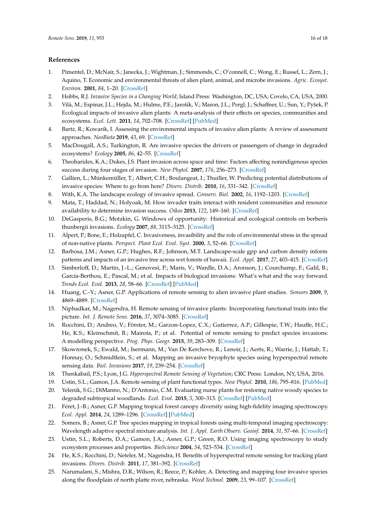### **References**

- <span id="page-15-0"></span>1. Pimentel, D.; McNair, S.; Janecka, J.; Wightman, J.; Simmonds, C.; O'connell, C.; Wong, E.; Russel, L.; Zern, J.; Aquino, T. Economic and environmental threats of alien plant, animal, and microbe invasions. *Agric. Ecosyst. Environ.* **2001**, *84*, 1–20. [\[CrossRef\]](http://dx.doi.org/10.1016/S0167-8809(00)00178-X)
- <span id="page-15-1"></span>2. Hobbs, R.J. *Invasive Species in a Changing World*; Island Press: Washington, DC, USA; Covelo, CA, USA, 2000.
- <span id="page-15-2"></span>3. Vilà, M.; Espinar, J.L.; Hejda, M.; Hulme, P.E.; Jarošík, V.; Maron, J.L.; Pergl, J.; Schaffner, U.; Sun, Y.; Pyšek, P. Ecological impacts of invasive alien plants: A meta-analysis of their effects on species, communities and ecosystems. *Ecol. Lett.* **2011**, *14*, 702–708. [\[CrossRef\]](http://dx.doi.org/10.1111/j.1461-0248.2011.01628.x) [\[PubMed\]](http://www.ncbi.nlm.nih.gov/pubmed/21592274)
- <span id="page-15-3"></span>4. Bartz, R.; Kowarik, I. Assessing the environmental impacts of invasive alien plants: A review of assessment approaches. *NeoBiota* **2019**, *43*, 69. [\[CrossRef\]](http://dx.doi.org/10.3897/neobiota.43.30122)
- <span id="page-15-4"></span>5. MacDougall, A.S.; Turkington, R. Are invasive species the drivers or passengers of change in degraded ecosystems? *Ecology* **2005**, *86*, 42–55. [\[CrossRef\]](http://dx.doi.org/10.1890/04-0669)
- <span id="page-15-5"></span>6. Theoharides, K.A.; Dukes, J.S. Plant invasion across space and time: Factors affecting nonindigenous species success during four stages of invasion. *New Phytol.* **2007**, *176*, 256–273. [\[CrossRef\]](http://dx.doi.org/10.1111/j.1469-8137.2007.02207.x)
- <span id="page-15-6"></span>7. Gallien, L.; Münkemüller, T.; Albert, C.H.; Boulangeat, I.; Thuiller, W. Predicting potential distributions of invasive species: Where to go from here? *Divers. Distrib.* **2010**, *16*, 331–342. [\[CrossRef\]](http://dx.doi.org/10.1111/j.1472-4642.2010.00652.x)
- <span id="page-15-7"></span>8. With, K.A. The landscape ecology of invasive spread. *Conserv. Biol.* **2002**, *16*, 1192–1203. [\[CrossRef\]](http://dx.doi.org/10.1046/j.1523-1739.2002.01064.x)
- <span id="page-15-8"></span>9. Mata, T.; Haddad, N.; Holyoak, M. How invader traits interact with resident communities and resource availability to determine invasion success. *Oikos* **2013**, *122*, 149–160. [\[CrossRef\]](http://dx.doi.org/10.1111/j.1600-0706.2012.20401.x)
- <span id="page-15-9"></span>10. DeGasperis, B.G.; Motzkin, G. Windows of opportunity: Historical and ecological controls on berberis thunbergii invasions. *Ecology* **2007**, *88*, 3115–3125. [\[CrossRef\]](http://dx.doi.org/10.1890/06-2014.1)
- <span id="page-15-10"></span>11. Alpert, P.; Bone, E.; Holzapfel, C. Invasiveness, invasibility and the role of environmental stress in the spread of non-native plants. *Perspect. Plant Ecol. Evol. Syst.* **2000**, *3*, 52–66. [\[CrossRef\]](http://dx.doi.org/10.1078/1433-8319-00004)
- <span id="page-15-11"></span>12. Barbosa, J.M.; Asner, G.P.; Hughes, R.F.; Johnson, M.T. Landscape-scale gpp and carbon density inform patterns and impacts of an invasive tree across wet forests of hawaii. *Ecol. Appl.* **2017**, *27*, 403–415. [\[CrossRef\]](http://dx.doi.org/10.1002/eap.1445)
- <span id="page-15-12"></span>13. Simberloff, D.; Martin, J.-L.; Genovesi, P.; Maris, V.; Wardle, D.A.; Aronson, J.; Courchamp, F.; Galil, B.; García-Berthou, E.; Pascal, M.; et al. Impacts of biological invasions: What's what and the way forward. *Trends Ecol. Evol.* **2013**, *28*, 58–66. [\[CrossRef\]](http://dx.doi.org/10.1016/j.tree.2012.07.013) [\[PubMed\]](http://www.ncbi.nlm.nih.gov/pubmed/22889499)
- <span id="page-15-13"></span>14. Huang, C.-Y.; Asner, G.P. Applications of remote sensing to alien invasive plant studies. *Sensors* **2009**, *9*, 4869–4889. [\[CrossRef\]](http://dx.doi.org/10.3390/s90604869)
- <span id="page-15-14"></span>15. Niphadkar, M.; Nagendra, H. Remote sensing of invasive plants: Incorporating functional traits into the picture. *Int. J. Remote Sens.* **2016**, *37*, 3074–3085. [\[CrossRef\]](http://dx.doi.org/10.1080/01431161.2016.1193795)
- 16. Rocchini, D.; Andreo, V.; Förster, M.; Garzon-Lopez, C.X.; Gutierrez, A.P.; Gillespie, T.W.; Hauffe, H.C.; He, K.S.; Kleinschmit, B.; Mairota, P.; et al. Potential of remote sensing to predict species invasions: A modelling perspective. *Prog. Phys. Geogr.* **2015**, *39*, 283–309. [\[CrossRef\]](http://dx.doi.org/10.1177/0309133315574659)
- <span id="page-15-17"></span>17. Skowronek, S.; Ewald, M.; Isermann, M.; Van De Kerchove, R.; Lenoir, J.; Aerts, R.; Warrie, J.; Hattab, T.; Honnay, O.; Schmidtlein, S.; et al. Mapping an invasive bryophyte species using hyperspectral remote sensing data. *Biol. Invasions* **2017**, *19*, 239–254. [\[CrossRef\]](http://dx.doi.org/10.1007/s10530-016-1276-1)
- <span id="page-15-15"></span>18. Thenkabail, P.S.; Lyon, J.G. *Hyperspectral Remote Sensing of Vegetation*; CRC Press: London, NY, USA, 2016.
- <span id="page-15-16"></span>19. Ustin, S.L.; Gamon, J.A. Remote sensing of plant functional types. *New Phytol.* **2010**, *186*, 795–816. [\[PubMed\]](http://www.ncbi.nlm.nih.gov/pubmed/20569415)
- <span id="page-15-18"></span>20. Yelenik, S.G.; DiManno, N.; D'Antonio, C.M. Evaluating nurse plants for restoring native woody species to degraded subtropical woodlands. *Ecol. Evol.* **2015**, *5*, 300–313. [\[CrossRef\]](http://dx.doi.org/10.1002/ece3.1294) [\[PubMed\]](http://www.ncbi.nlm.nih.gov/pubmed/25709807)
- <span id="page-15-19"></span>21. Féret, J.-B.; Asner, G.P. Mapping tropical forest canopy diversity using high-fidelity imaging spectroscopy. *Ecol. Appl.* **2014**, *24*, 1289–1296. [\[CrossRef\]](http://dx.doi.org/10.1890/13-1824.1) [\[PubMed\]](http://www.ncbi.nlm.nih.gov/pubmed/29160652)
- <span id="page-15-20"></span>22. Somers, B.; Asner, G.P. Tree species mapping in tropical forests using multi-temporal imaging spectroscopy: Wavelength adaptive spectral mixture analysis. *Int. J. Appl. Earth Observ. Geoinf.* **2014**, *31*, 57–66. [\[CrossRef\]](http://dx.doi.org/10.1016/j.jag.2014.02.006)
- <span id="page-15-21"></span>23. Ustin, S.L.; Roberts, D.A.; Gamon, J.A.; Asner, G.P.; Green, R.O. Using imaging spectroscopy to study ecosystem processes and properties. *BioScience* **2004**, *54*, 523–534. [\[CrossRef\]](http://dx.doi.org/10.1641/0006-3568(2004)054[0523:UISTSE]2.0.CO;2)
- 24. He, K.S.; Rocchini, D.; Neteler, M.; Nagendra, H. Benefits of hyperspectral remote sensing for tracking plant invasions. *Divers. Distrib.* **2011**, *17*, 381–392. [\[CrossRef\]](http://dx.doi.org/10.1111/j.1472-4642.2011.00761.x)
- <span id="page-15-22"></span>25. Narumalani, S.; Mishra, D.R.; Wilson, R.; Reece, P.; Kohler, A. Detecting and mapping four invasive species along the floodplain of north platte river, nebraska. *Weed Technol.* **2009**, *23*, 99–107. [\[CrossRef\]](http://dx.doi.org/10.1614/WT-08-007.1)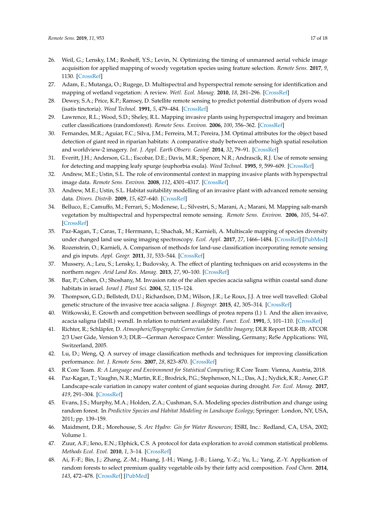- <span id="page-16-0"></span>26. Weil, G.; Lensky, I.M.; Resheff, Y.S.; Levin, N. Optimizing the timing of unmanned aerial vehicle image acquisition for applied mapping of woody vegetation species using feature selection. *Remote Sens.* **2017**, *9*, 1130. [\[CrossRef\]](http://dx.doi.org/10.3390/rs9111130)
- <span id="page-16-1"></span>27. Adam, E.; Mutanga, O.; Rugege, D. Multispectral and hyperspectral remote sensing for identification and mapping of wetland vegetation: A review. *Wetl. Ecol. Manag.* **2010**, *18*, 281–296. [\[CrossRef\]](http://dx.doi.org/10.1007/s11273-009-9169-z)
- <span id="page-16-2"></span>28. Dewey, S.A.; Price, K.P.; Ramsey, D. Satellite remote sensing to predict potential distribution of dyers woad (isatis tinctoria). *Weed Technol.* **1991**, *5*, 479–484. [\[CrossRef\]](http://dx.doi.org/10.1017/S0890037X00027184)
- <span id="page-16-3"></span>29. Lawrence, R.L.; Wood, S.D.; Sheley, R.L. Mapping invasive plants using hyperspectral imagery and breiman cutler classifications (randomforest). *Remote Sens. Environ.* **2006**, *100*, 356–362. [\[CrossRef\]](http://dx.doi.org/10.1016/j.rse.2005.10.014)
- <span id="page-16-4"></span>30. Fernandes, M.R.; Aguiar, F.C.; Silva, J.M.; Ferreira, M.T.; Pereira, J.M. Optimal attributes for the object based detection of giant reed in riparian habitats: A comparative study between airborne high spatial resolution and worldview-2 imagery. *Int. J. Appl. Earth Observ. Geoinf.* **2014**, *32*, 79–91. [\[CrossRef\]](http://dx.doi.org/10.1016/j.jag.2014.03.026)
- <span id="page-16-5"></span>31. Everitt, J.H.; Anderson, G.L.; Escobar, D.E.; Davis, M.R.; Spencer, N.R.; Andrascik, R.J. Use of remote sensing for detecting and mapping leafy spurge (euphorbia esula). *Weed Technol.* **1995**, *9*, 599–609. [\[CrossRef\]](http://dx.doi.org/10.1017/S0890037X00023915)
- <span id="page-16-6"></span>32. Andrew, M.E.; Ustin, S.L. The role of environmental context in mapping invasive plants with hyperspectral image data. *Remote Sens. Environ.* **2008**, *112*, 4301–4317. [\[CrossRef\]](http://dx.doi.org/10.1016/j.rse.2008.07.016)
- <span id="page-16-7"></span>33. Andrew, M.E.; Ustin, S.L. Habitat suitability modelling of an invasive plant with advanced remote sensing data. *Divers. Distrib.* **2009**, *15*, 627–640. [\[CrossRef\]](http://dx.doi.org/10.1111/j.1472-4642.2009.00568.x)
- <span id="page-16-8"></span>34. Belluco, E.; Camuffo, M.; Ferrari, S.; Modenese, L.; Silvestri, S.; Marani, A.; Marani, M. Mapping salt-marsh vegetation by multispectral and hyperspectral remote sensing. *Remote Sens. Environ.* **2006**, *105*, 54–67. [\[CrossRef\]](http://dx.doi.org/10.1016/j.rse.2006.06.006)
- <span id="page-16-9"></span>35. Paz-Kagan, T.; Caras, T.; Herrmann, I.; Shachak, M.; Karnieli, A. Multiscale mapping of species diversity under changed land use using imaging spectroscopy. *Ecol. Appl.* **2017**, *27*, 1466–1484. [\[CrossRef\]](http://dx.doi.org/10.1002/eap.1540) [\[PubMed\]](http://www.ncbi.nlm.nih.gov/pubmed/28370671)
- <span id="page-16-10"></span>36. Rozenstein, O.; Karnieli, A. Comparison of methods for land-use classification incorporating remote sensing and gis inputs. *Appl. Geogr.* **2011**, *31*, 533–544. [\[CrossRef\]](http://dx.doi.org/10.1016/j.apgeog.2010.11.006)
- <span id="page-16-11"></span>37. Mussery, A.; Leu, S.; Lensky, I.; Budovsky, A. The effect of planting techniques on arid ecosystems in the northern negev. *Arid Land Res. Manag.* **2013**, *27*, 90–100. [\[CrossRef\]](http://dx.doi.org/10.1080/15324982.2012.719574)
- <span id="page-16-12"></span>38. Bar, P.; Cohen, O.; Shoshany, M. Invasion rate of the alien species acacia saligna within coastal sand dune habitats in israel. *Israel J. Plant Sci.* **2004**, *52*, 115–124.
- <span id="page-16-13"></span>39. Thompson, G.D.; Bellstedt, D.U.; Richardson, D.M.; Wilson, J.R.; Le Roux, J.J. A tree well travelled: Global genetic structure of the invasive tree acacia saligna. *J. Biogeogr.* **2015**, *42*, 305–314. [\[CrossRef\]](http://dx.doi.org/10.1111/jbi.12436)
- <span id="page-16-14"></span>40. Witkowski, E. Growth and competition between seedlings of protea repens (l.) l. And the alien invasive, acacia saligna (labill.) wendl. In relation to nutrient availability. *Funct. Ecol.* **1991**, *5*, 101–110. [\[CrossRef\]](http://dx.doi.org/10.2307/2389560)
- <span id="page-16-15"></span>41. Richter, R.; Schläpfer, D. *Atmospheric*/*Topographic Correction for Satellite Imagery*; DLR Report DLR-IB; ATCOR 2/3 User Gide, Version 9.3; DLR—German Aerospace Center: Wessling, Germany; ReSe Applications: Wil, Switzerland, 2005.
- <span id="page-16-16"></span>42. Lu, D.; Weng, Q. A survey of image classification methods and techniques for improving classification performance. *Int. J. Remote Sens.* **2007**, *28*, 823–870. [\[CrossRef\]](http://dx.doi.org/10.1080/01431160600746456)
- <span id="page-16-17"></span>43. R Core Team. *R: A Language and Environment for Statistical Computing*; R Core Team: Vienna, Austria, 2018.
- <span id="page-16-18"></span>44. Paz-Kagan, T.; Vaughn, N.R.; Martin, R.E.; Brodrick, P.G.; Stephenson, N.L.; Das, A.J.; Nydick, K.R.; Asner, G.P. Landscape-scale variation in canopy water content of giant sequoias during drought. *For. Ecol. Manag.* **2017**, *419*, 291–304. [\[CrossRef\]](http://dx.doi.org/10.1016/j.foreco.2017.11.018)
- <span id="page-16-19"></span>45. Evans, J.S.; Murphy, M.A.; Holden, Z.A.; Cushman, S.A. Modeling species distribution and change using random forest. In *Predictive Species and Habitat Modeling in Landscape Ecology*; Springer: London, NY, USA, 2011; pp. 139–159.
- <span id="page-16-20"></span>46. Maidment, D.R.; Morehouse, S. *Arc Hydro: Gis for Water Resources*; ESRI, Inc.: Redland, CA, USA, 2002; Volume 1.
- <span id="page-16-21"></span>47. Zuur, A.F.; Ieno, E.N.; Elphick, C.S. A protocol for data exploration to avoid common statistical problems. *Methods Ecol. Evol.* **2010**, *1*, 3–14. [\[CrossRef\]](http://dx.doi.org/10.1111/j.2041-210X.2009.00001.x)
- <span id="page-16-22"></span>48. Ai, F.-F.; Bin, J.; Zhang, Z.-M.; Huang, J.-H.; Wang, J.-B.; Liang, Y.-Z.; Yu, L.; Yang, Z.-Y. Application of random forests to select premium quality vegetable oils by their fatty acid composition. *Food Chem.* **2014**, *143*, 472–478. [\[CrossRef\]](http://dx.doi.org/10.1016/j.foodchem.2013.08.013) [\[PubMed\]](http://www.ncbi.nlm.nih.gov/pubmed/24054269)